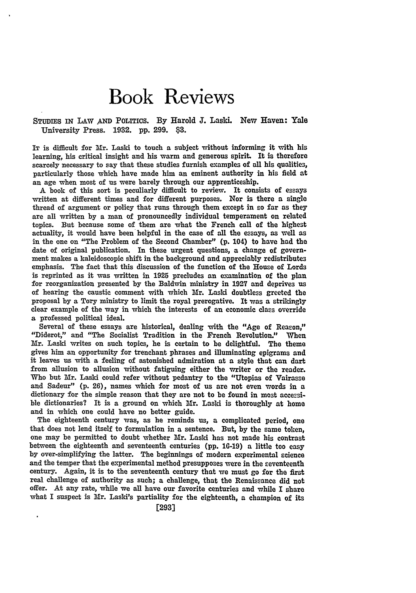## **Book Reviews**

## STUDIES IN LAW AND POLITICS. By Harold J. Laski. New Haven: Yale University Press. **1932. pp. 299. \$3.**

**IT** is difficult for Mr. Laski to touch a subject without informing it with his learning, his critical insight and his warm and generous spirit. It is therefore scarcely necessary to say that these studies furnish examples of **all** his qualities, particularly those which have made him an eminent authority in his field at an age when most of us were barely through our apprenticeship.

A book of this sort is peculiarly difficult to review. It consists of essays written at different times and for different purposes. Nor is there a single thread of argument or policy that runs through them except in so far as they are all written by a man of pronouncedly individual temperament **on** related topics. But because some of them are what the French call of the highest actuality, it would have been helpful in the case of all the essays, as well as in the one on "The Problem of the Second Chamber" **(p.** 104) to have **had** the date of original publication. In these urgent questions, a change of government makes a kaleidoscopic shift in the background and appreciably redistributes emphasis. The fact that this discussion of the function of the House of Lords is reprinted as it was written in **1925** precludes an examination of the plan for reorganization presented **by** the Baldwin ministry in **1927** and deprives **us** of hearing the caustic comment with which Air. Laski doubtless greeted the proposal **by** a Tory ministry to limit the royal prerogative. It was a strikingly clear example of the way in which the interests of an economic class override a professed political ideal.

Several of these essays are historical, dealing with the "Age of Reason," "Diderot," and "The Socialist Tradition in the French Revolution." When Mr. Laski writes on such topics, he is certain to be delightful. The theme gives him an opportunity for trenchant phrases and illuminating epigrams and it leaves us with a feeling of astonished admiration at a style that can dart from allusion to allusion without fatiguing either the writer or the reader. Who but Mr. Laski could refer without pedantry to the "Utopias of Vairasse and Sadeur" **(p. 26),** names which for most of us are not even words in a dictionary for the simple reason that they are not to be found in most accessible dictionaries? It is a ground on which Mr. **Laski** is thoroughly at home and in which one could have no better guide.

The eighteenth century was, as he reminds us, a complicated period, one that does not lend itself to formulation in a sentence. But, **by** the same token, one may be permitted to doubt whether Mr. Laski has not made his contrast between the eighteenth and seventeenth centuries **(pp. 16-19)** a little too easy **by** over-simplifying the latter. The beginnings of modern experimental science and the temper that the experimental method presupposes were in the seventeenth century. Again, it is to the seventeenth century that we must go for the first real challenge of authority as such; a challenge, that the Renaissance did not offer. At any rate, while we all have our favorite centuries and while I share what I suspect is Mr. Laski's partiality for the eighteenth, a champion of its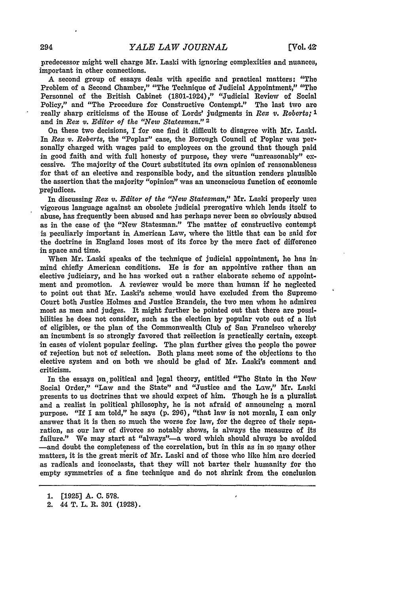predecessor might well charge Mr. Laski with ignoring complexities and nuances, important in other connections.

A second group of essays deals with specific and practical matters: "The Problem of a Second Chamber," "The Technique of Judicial Appointment," "The Personnel of the British Cabinet (1801-1924)," "Judicial Review of Social Policy," and "The Procedure for Constructive Contempt." The last two are really sharp criticisms of the House of Lords' judgments in *Rex V. Roberts;* **1** and in *Rex v. Editor of the "New Statesman."* 2

On these two decisions, I for one find it difficult to disagree with Mr. Laski. In *Rex v. Roberts,* the "Poplar" case, the Borough Council of Poplar was personally charged with wages paid to employees on the ground that though paid in good faith and with full honesty of purpose, they were "unreasonably" **ex**cessive. The majority of the Court substituted its own opinion of reasonableness for that of an elective and responsible body, and the situation renders plausible the assertion that the majority "opinion" was an unconscious function of economic prejudices.

In discussing *Rex v. Editor of the "New Statesman,"* Mr. Laski properly uses vigorous language against an obsolete judicial prerogative which lends itself to abuse, has frequently been abused and has perhaps never been so obviously abused as in the case of the "New Statesman." The matter of constructive contempt is peculiarly important in American Law, where the little that can **be** said for the doctrine in England loses most of its force by the mere fact of difference in space and time.

When Mr. Laski speaks of the technique of judicial appointment, he has in mind chiefly American conditions. He is for an appointive rather than an elective judiciary, and he has worked out a rather elaborate scheme of appointment and promotion. A reviewer would be more than human if he neglected to point out that Mr. Laski's scheme would have excluded from the Supreme Court both Justice Holmes and Justice Brandeis, the two men whom he admires most as men and judges. It might further be pointed out that there are possibilities he does not consider, such as the election by popular vote out of a list of eligibles, or the plan of the Commonwealth Club of San Francisco whereby an incumbent is so strongly favored that reëlection is practically certain, except. in cases of violent popular feeling. The plan further gives the people the power of rejection but not of selection. Both plans meet some of the objections to the elective system and on both we should be glad of Mr. Laski's comment and criticism.

In the essays on, political and legal theory, entitled "The State in the New Social Order," "Law and the State" and "Justice and the Law," Mr. Laski presents to us doctrines that we should expect of him. Though he is a pluralist and a realist in political philosophy, he is not afraid of announcing **a** moral purpose. "If I am told," he says **(p. 296),** "that law is not morals, I can only answer that it is then so much the worse for law, for the degree of their **sepa**ration, as our law of divorce so notably shows, is always the measure of its failure." We may start at "always"-a word which should always be avoided -and doubt the completeness of the correlation, but in this as in so many other matters, it is the great merit of Mr. Laski and of those who like him are decried as radicals and iconoclasts, that they will not barter their humanity for the empty symmetries of a fine technique and do not shrink from the conclusion

**<sup>1. [1925]</sup> A. C. 578.**

<sup>2. 44</sup> T. **L.** R. **301 (1928).**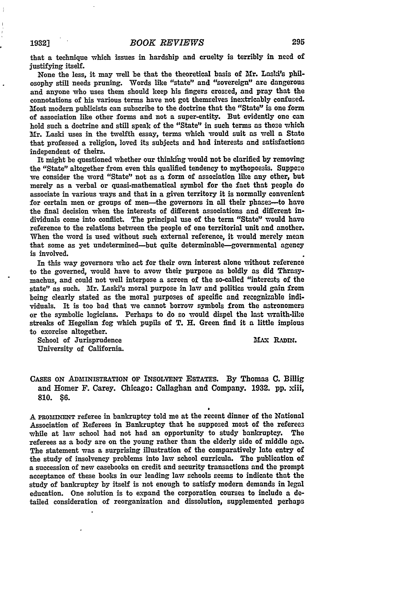that a technique which issues in hardship and cruelty is terribly in need of justifying itself.

None the less, it may well be that the theoretical basis of Mr. Laski's philosophy still needs pruning. Words like "state" and "sovereign" are dangerous and anyone who uses them should keep his fingers crossed, and pray that the connotations of his various terms have not got themselves inextricably confused. Most modern publicists can subscribe to the doctrine that the "State" is one form of association like other forms and not a super-entity. But evidently one can hold such a doctrine and still speak of the "State" in such terms as those which Mr. Laski uses in the twelfth essay, terms which would suit as well a State that professed a religion, loved its subjects and had interests and satisfactions independent of theirs.

It might be questioned whether our thinking would not **be** clarified **by** removing the "State" altogether from even this qualified tendency to mythopoesis. Suppose we consider the word "State" not as a form of association like any other, but merely as a verbal or quasi-mathematical symbol for the fact that people do associate in various ways and that in a given territory it is normally convenient for certain men or groups of men-the governors in all their phases--to have the final decision when the interests of different associations and different individuals come into conflict. The principal use of the term "State" would have reference to the relations between the people of one territorial unit and another. When the word is used without such external reference, it would merely mean that some as yet undetermined-but quite determinable-governmental agency is involved.

In this way governors who act for their own interest alone without reference to the governed, would have to avow their purpose as boldly as did Thrasymachus, and could not well interpose a screen of the so-called "interests of the state" as such. Mr. Laski's moral purpose in law and politics would gain from being clearly stated as the moral purposes of specific and recognizable individuals. It is too bad that we cannot borrow symbols from the astronomers or the symbolic logicians. Perhaps to do so would dispel the last wraith-like streaks of Hegelian fog which pupils of T. H. Green find it a little impious to exorcise altogether.

School of Jurisprudence **MAX RADIN.** University of California.

CASES ON ADMINISTRATION **OF** INSOLVENT ESTATES. **By** Thomas **C.** Billig and Homer F. Carey. Chicago: Callaghan and Company. **1932. pp.** xiii, **810. \$6.**

A **PROmENT** referee in bankruptcy told me at the recent dinner of the National Association of Referees in Bankruptcy that he supposed most of the referee3 while at law school had not had an opportunity to study bankruptcy. The referees as a body are on the young rather than the elderly side of middle age. The statement was a surprising illustration of the comparatively late entry of the study of insolvency problems into law school curricula. The publication of a succession of new casebooks on credit and security transactions and the prompt acceptance of these books in our leading law schools seems to indicate that the study of bankruptcy **by** itself is not enough to satisfy modern demands in legal education. One solution is to expand the corporation courses to include a detailed consideration of reorganization and dissolution, supplemented perhaps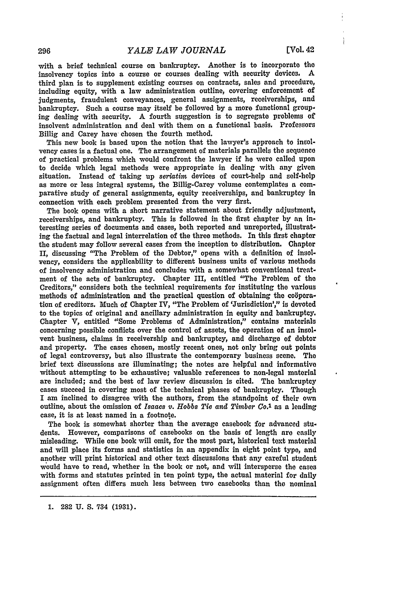with a brief technical course on bankruptcy. Another is to incorporate the incolumnar tonics into a course or courses dealing with security devices. A insolvency topics into a course or courses dealing with security devices. **A** third plan is to supplement existing courses on contracts, sales and procedure, including equity, with a law administration outline, covering enforcement of judgments, fraudulent conveyances, general assignments, receiverships, and bankruptcy. Such a course may itself be followed **by** a more functional grouping dealing with security. A fourth suggestion is to segregate problems **ot** insolvent administration and deal with them on a functional basis. Professors Billig and Carey have' chosen the fourth method.

This new book is based upon the notion that the lawyer's approach to insolvency cases is a factual one. The arrangement of materials parallels the sequence of practical problems which would confront the lawyer if he were called upon to decide which legal methods were appropriate in dealing with any given situation. Instead of taking up *seriatim* devices of court-help and self-help as more or less integral systems, the Billig-Carey volume contemplates a comparative study of general assignments, equity receiverships, and bankruptcy in connection with each problem presented from the very first.

The book opens with a short narrative statement about friendly adjustment, receiverships, and bankruptcy. This is followed in the first chapter by an interesting series of documents and cases, both reported and unreported, illustrating the factual and legal interrelation of the three methods. In this first chapter the student may follow several cases from the inception to distribution. Chapter II, discussing "The Problem of the Debtor," opens with a definition of insolvency, considers the applicability to different business units of various methods of insolvency administration and concludes with a somewhat conventional treatment of the acts of bankruptcy. Chapter III, entitled "The Problem of the Creditors," considers both the technical requirements for instituting the various methods of administration and the practical question of obtaining the coöporation of creditors. Much of Chapter IV, "The Problem of 'Jurisdiction'," is devoted to the topics of original and ancillary administration in equity and bankruptcy. Chapter V, entitled "Some Problems of Administration," contains materials concerning possible conflicts over the control of assets, the operation of an insolvent business, claims in receivership and bankruptcy, and discharge of debtor and property. The cases chosen, mostly recent ones, not only bring out points of legal controversy, but also illustrate the contemporary business scene. The brief text discussions are illuminating; the notes are helpful and informative without attempting to be exhaustive; valuable references to non-legal material are included; and the best of law review discussion is cited. The bankruptcy cases succeed in covering most of the technical phases of bankruptcy. Though I am inclined to disagree with the authors, from the standpoint of their own outline, about the omission of *Isaacs v. Hobbs Tie and Timber Co.1* as **a** leading case, it is at least named in a footnote.

The book is somewhat shorter than the average casebook for advanced students. However, comparisons of casebooks on the basis of length are easily misleading. While one book will omit, for the most part, historical text material and will place its forms and statistics in an appendix in eight point type, and another will print historical and other text discussions that any careful student would have to read, whether in the book or not, and will intersperse the cases with forms and statutes printed in ten point type, the actual material for daily assignment often differs much less between two casebooks than the nominal

**1. 282 U. S.** 734 **(1931).**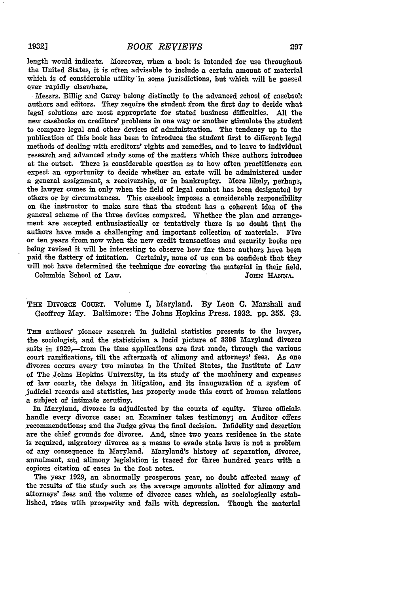**19321**

length would indicate. Moreover, when a book is intended for use throughout the United States, it is often advisable to include a certain amount of material which is of considerable utility'in some jurisdictions, but which will be passed over rapidly elsewhere.

Messrs. Billig and Carey belong distinctly to the advanced school of casebool: authors and editors. They require the student from the first day to decide what legal solutions are most appropriate for stated business difficulties. **All** the new casebooks on creditors' problems in one way or another stimulate the student to compare legal and other devices of administration. The tendency up to the publication of this book has been to introduce the student first to different legal methods of dealing with creditors' rights and remedies, and to leave to individual research and advanced study some of the matters which these authors introduce at the outset. There is considerable question as to how often practitioners can expect an opportunity to decide whether an estate will be administered under a general assignment, a receivership, or in bankruptcy. More likely, perhaps, the lawyer comes in only when the field of legal combat has been designated by others or by circumstances. This casebook imposes a considerable responsibility on the instructor to make sure that the student has a coherent idea of the general scheme of the three devices compared. Whether the plan and arrangement are accepted enthusiastically or tentatively there is no doubt that the authors have made a challenging and important collection of materials. Five or ten years from now when the new credit transactions and security books are being revised it will be interesting to observe how far these authors have been paid the flattery of imitation. Certainly, none of us can be confident that they **will** not have determined the technique for covering the material in their field. Columbia School of Law. **JOHN HANNA.** 

THE DIVORCE COURT. Volume **I,** Maryland. **By** Leon **C.** Marshall and Geoffrey Mlay. Baltimore: The Johns Hopkins Press. **1932. pp. 355. \$3.**

**THE** authors' pioneer research in judicial statistics presents to the lawyer, the sociologist, and the statistician a lucid picture of **3306** Maryland divorce suits in 1929,-from the time applications are first made, through the various court ramifications, till the aftermath of alimony and attorneys' fees. As one divorce occurs every two minutes in the United States, the Institute of Law of The Johns Hopkins University, in its study of the machinery and expenses of law courts, the delays in litigation, and its inauguration of a system of judicial records and statistics, has properly made this court of human relations a subject of intimate scrutiny.

In Maryland, divorce is adjudicated **by** the courts of equity. Three officials handle every divorce case: an Examiner takes testimony; an Auditor offers recommendations; and the Judge gives the final decision. Infidelity and desertion are the chief grounds for divorce. And, since two years residence in the state is required, migratory divorce as **a** means to evade state laws is not a problem of any consequence in Maryland. Maryland's history of separation, divorce, annulment, and alimony legislation is traced for three hundred years with a copious citation of cases in the foot notes.

The year 1929, an abnormally prosperous year, no doubt affected many of the results of the study such as the average amounts allotted for alimony and attorneys' fees and the volume of divorce cases which, as sociologically established, rises with prosperity and falls with depression. Though the material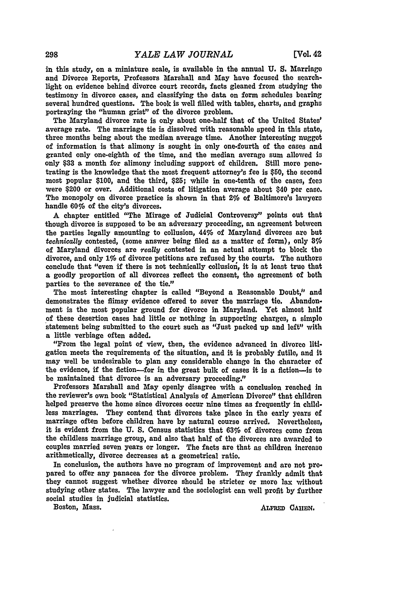in this study, on a miniature scale, is available in the annual **U. S.** Marriage and Divorce Reports, Professors Marshall and May have focused the searchlight on evidence behind divorce court records, facts gleaned from studying the testimony in divorce cases, and classifying the data on form schedules bearing several hundred questions. The book is well filled with tables, charts, and graphs portraying the "human grist" of the divorce problem.

The Maryland divorce rate is only about one-half that of the United States' average rate. The marriage tie is dissolved with reasonable speed in this state, three months being about the median average time. Another interesting nugget of information is that alimony is sought in only one-fourth of the cases and granted only one-eighth of the time, and the median average sum allowed is only **\$33** a month for alimony including support of children. Still more penetrating is the knowledge that the most frequent attorney's fee is **\$50,** the second most popular **\$100,** and the third, **\$25;** while in one-tenth of the cases, fees were \$200 or over. Additional costs of litigation average about \$40 per **case.** The monopoly on divorce practice is shown in that 2% of Baltimore's lawyers handle 60% of the city's divorces.

A chapter entitled "The Mirage of Judicial Controversy" points out that though divorce is supposed to be an adversary proceeding, an agreement between the parties legally amounting to collusion, 44% of Maryland divorces are but technically contested, (some answer being filed as a matter of form), only 8% of Maryland divorces are reaUy contested in an actual attempt to block the divorce, and only 1% of divorce petitions are refused **by** the courts. The authors conclude that "even if there is not technically collusion, it is at least true that a goodly proportion of all divorces reflect the consent, the agreement of both parties to the severance of the tie."

The most interesting chapter is called "Beyond a Reasonable Doubt," and demonstrates the flimsy evidence offered to sever the marriage tie. Abandonment is the most popular ground for divorce in Maryland. Yet almost half of these desertion cases had little or nothing in supporting **charges,** a simple statement being submitted to the court such as "Just packed up and left" with a little verbiage often added.

"From the legal point of view, then, the evidence advanced in divorce litigation meets the requirements of the situation, and it is probably futile, and it may well be undesirable to plan any considerable change in the character of the evidence, if the fiction-for in the great bulk of cases it is **a** fiction-is to be maintained that divorce is an adversary proceeding."

Professors Marshall and May openly disagree with a conclusion reached in the reviewer's own book "Statistical Analysis of American Divorce" that children helped preserve the home since divorces occur nine times as frequently in **child**less marriages. They contend that divorces take place in the early years of marriage often before children have **by** natural course arrived. Nevertheless, it is evident from the **U. S.** Census statistics that 63% of divorces come from the childless marriage group, and also that half of the divorces are awarded to couples married seven years or longer. The facts are that as children increase arithmetically, divorce decreases at a geometrical ratio.

In conclusion, the authors have no program of improvement and are not prepared to offer any panacea for the divorce problem. **They** frankly admit that they cannot suggest whether divorce should be stricter or more lax without studying other states. The lawyer and the sociologist can well profit **by** further social studies in judicial statistics.

Boston, Mass. **ALFRED CAHEN.**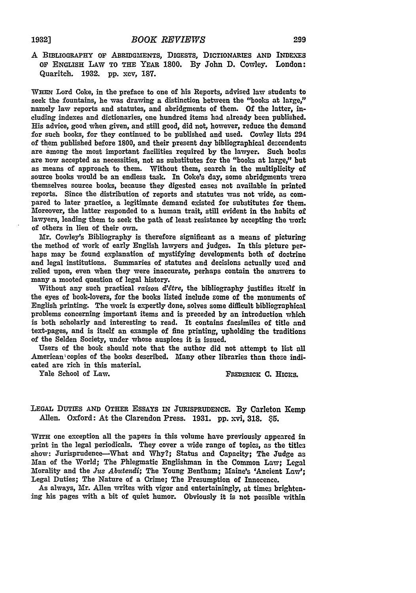A BIBLIOGRAPHY OF ABRIDGMENTS, DIGESTS, DICTIONARIES **AND** INDEXES OF **ENGLISH** LAW TO THE YEAR **1800. By** John **D.** Cowley. London: Quaritch. **1932. pp.** xcv, **187.**

WHEN Lord Coke, in the preface to one of his Reports, advised law students to seek the fountains, he was drawing a distinction between the "books at large," namely law reports and statutes, and abridgments of them. **Of** the latter, including indexes and dictionaries, one hundred items had already been published. His advice, good when given, and still good, did not, however, reduce the demand for such books, for they continued to be published and used. Cowley lists 294 of them published before **1800,** and their present day bibliographical descendents are among the most important facilities required **by** the lawyer. Such books are now accepted as necessities, not as substitutes for the "books at large," but as means of approach to them. Without them, search in the multiplicity of source books would be an endless task. In Coke's day, some abridgments were themselves source books, because they digested cases not available in printed reports. Since the distribution of reports and statutes was not wide, as compared to later practice, a legitimate demand existed for substitutes for them. Moreover, the latter responded to a human trait, still evident in the habits of lawyers, leading them to seek the path of least resistance by accepting the work of others in lieu of their own.

Mr. Cowley's Bibliography is therefore significant as a means of picturing the method of work of early English lawyers and judges. In this picture perhaps may be found explanation of mystifying developments both of doctrine and legal institutions. Summaries of statutes and decisions actually used and relied upon, even when they were inaccurate, perhaps contain the answers to many a mooted question of legal history.

Without any such practical *'raison d'dtre,* the bibliography justifies itself in the eyes of book-lovers, for the books listed include some of the monuments of English printing. The work is expertly done, solves some diffeult bibliographical problems concerning important items and is preceded by an introduction which is both scholarly and interesting to read. It contains facsimiles of title and text-pages, and is itself an example of fine printing, upholding the traditions of the Selden Society, under whose auspices it is issued.

Users of the book should note that the author did not attempt to list all American copies of the books described. Many other libraries than those indicated are rich in this material.

**19321**

Yale School of Law. **FREDERICK C. HICKS.**

## **LEGAL** DUTIES **AND** OTHER ESSAYS IN **JURISPRUDENCE. By** Carleton Kemp Allen. Oxford: At the Clarendon Press. **1931. pp.** xvi, **318. \$5.**

WrrH one exception all the papers in this volume have previously appeared in print in the legal periodicals. They cover a wide range of topics, as the titles show: Jurisprudence-What and **Why?;** Status and Capacity; The Judge as Man of the World; The Phlegmatic Englishman in the Common Law; Legal Morality and the *Jus Abutendi*; The Young Bentham; Maine's 'Ancient Law': Legal Duties; The Nature of a Crime; The Presumption of Innocence.

As always, Mr. Allen writes with vigor and entertainingly, at times brightening his pages with a bit of quiet humor. Obviously it is not possible within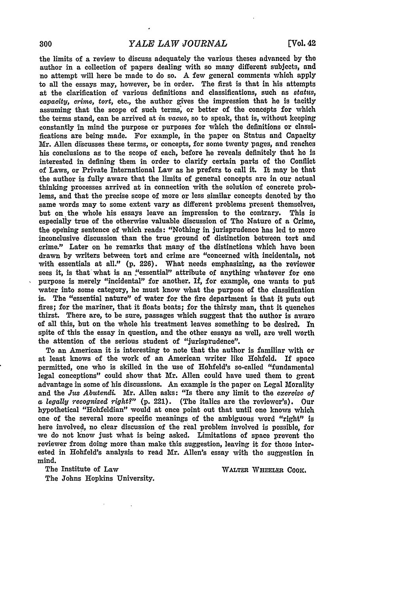## *YALE LAW JOURNAL*

the limits of a review to discuss adequately the various theses advanced by the author in a collection of papers dealing with so many different subjects, and no attempt will here be made to do so. A few general comments which apply to all the essays may, however, be in order. The first is that in his attempts at the clarification of various definitions and classifications, such as status, *capacity, crime, tort,* etc., the author gives the impression that he is tacitly assuming that the scope of such terms, or better of the concepts for which the terms stand, can be arrived at *in* vacuo, so to speak, that is, without keeping constantly in mind the purpose or purposes for which the definitions or classifications are being made. For example, in the paper on Status and Capacity Mr. Allen discusses these terms, or concepts, for some twenty pages, and reaches his conclusions as to the scope of each, before he reveals definitely that he Is interested in defining them in order to clarify certain parts of the Conflict of Laws, or Private International Law as he prefers to call it. It may be that the author is fully aware that the limits of general concepts are in our actual thinking processes arrived at in connection with the solution of concrete problems, and that the precise scope of more or less similar concepts denoted by the same words may to some extent vary as different problems present themselves, but on the whole his essays leave an impression to the contrary. This is especially true of the otherwise valuable discussion of The Nature of a Crime, the opening sentence of which reads: "Nothing in jurisprudence has led to more inconclusive discussion than the true ground of distinction between tort and crime." Later on he remarks that many of the distinctions which have been drawn by writers between tort and crime are "concerned with incidentals, not with essentials at all." (p. 226). What needs emphasizing, as the reviewer sees it, is that what is an "essential" attribute of anything whatever for one purpose is merely "incidental" for another. If, for example, one wants to put water into some category, he must know what the purpose of the classification is. The "essential nature" of water for the fire department is that it puts out fires; for the mariner, that it floats boats; for the thirsty man, that it quenches thirst. There are, to be sure, passages which suggest that the author is aware of all this, but on the whole his treatment leaves something to be desired. **In** spite of this the essay in question, and the other essays as well, are well worth the attention of the serious student of "jurisprudence".

To an American it is interesting to note that the author is familiar with or at least knows of the work of an American writer like lohfeld. **If** space permitted, one who is skilled in the use of Hohfeld's so-called "fundamental legal conceptions" could show that Mr. Allen could have used them to great advantage in some of his discussions. An example is the paper on Legal Morality and the *Jus Abutendi*. Mr. Allen asks: "Is there any limit to the exercise of *a legally recognized right?"* (p. 221). (The italics are the reviewer's). Our hypothetical "Hohfeldian" would at once point out that until one knows which one of the several more specific meanings of the ambiguous word "right" is here involved, no clear discussion of the real problem involved is possible, for we do not know just what is being asked. Limitations of space prevent the reviewer from doing more than make this suggestion, leaving it for those interested in Hohfeld's analysis to read Mr. Allen's essay with the suggestion in mind.

The Institute of Law WALTER WHEELER COOK.

The Johns Hopkins University.